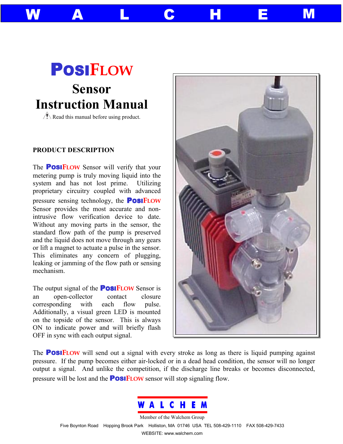# POSI**FLOW Sensor Instruction Manual**

Read this manual before using product.

# **PRODUCT DESCRIPTION**

The POSI**FLOW** Sensor will verify that your metering pump is truly moving liquid into the system and has not lost prime. Utilizing proprietary circuitry coupled with advanced pressure sensing technology, the POSI**FLOW** Sensor provides the most accurate and nonintrusive flow verification device to date. Without any moving parts in the sensor, the standard flow path of the pump is preserved and the liquid does not move through any gears or lift a magnet to actuate a pulse in the sensor. This eliminates any concern of plugging, leaking or jamming of the flow path or sensing mechanism.

The output signal of the POSI**FLOW** Sensor is an open-collector contact closure corresponding with each flow pulse. Additionally, a visual green LED is mounted on the topside of the sensor. This is always ON to indicate power and will briefly flash OFF in sync with each output signal.



The POSI**FLOW** will send out a signal with every stroke as long as there is liquid pumping against pressure. If the pump becomes either air-locked or in a dead head condition, the sensor will no longer output a signal. And unlike the competition, if the discharge line breaks or becomes disconnected, pressure will be lost and the POSI**FLOW** sensor will stop signaling flow.

W A L C H E M



Member of the Walchem Group

Five Boynton Road Hopping Brook Park Holliston, MA 01746 USA TEL 508-429-1110 FAX 508-429-7433 WEBSITE: www.walchem.com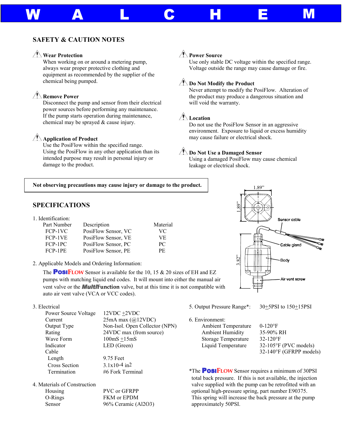# **SAFETY & CAUTION NOTES**

# **Wear Protection**

When working on or around a metering pump, always wear proper protective clothing and equipment as recommended by the supplier of the chemical being pumped.

# **Remove Power**

Disconnect the pump and sensor from their electrical power sources before performing any maintenance. If the pump starts operation during maintenance, chemical may be sprayed & cause injury.

# **Application of Product**

Use the PosiFlow within the specified range. Using the PosiFlow in any other application than its intended purpose may result in personal injury or damage to the product.

## **Power Source**

W A L C H E M

Use only stable DC voltage within the specified range. Voltage outside the range may cause damage or fire.

## *<u>And</u>* Do Not Modify the Product

Never attempt to modify the PosiFlow. Alteration of the product may produce a dangerous situation and will void the warranty.

## **Location**

Do not use the PosiFlow Sensor in an aggressive environment. Exposure to liquid or excess humidity may cause failure or electrical shock.

## *<u>Alla</u>* Do Not Use a Damaged Sensor

Using a damaged PosiFlow may cause chemical leakage or electrical shock.

#### **Not observing precautions may cause injury or damage to the product.**

## **SPECIFICATIONS**

1. Identification:

j

| Part Number | Description         | Material |
|-------------|---------------------|----------|
| FCP-1VC     | PosiFlow Sensor, VC | VC.      |
| FCP-1VE     | PosiFlow Sensor, VE | VE.      |
| FCP-1PC     | PosiFlow Sensor, PC | PC.      |
| FCP-1PE     | PosiFlow Sensor, PE | PE.      |

2. Applicable Models and Ordering Information:

The **POSIFLOW** Sensor is available for the 10, 15 & 20 sizes of EH and EZ pumps with matching liquid end codes. It will mount into either the manual air vent valve or the *Multi***Function** valve, but at this time it is not compatible with auto air vent valve (VCA or VCC codes).

## 3. Electrical

| Power Source Voltage | 12VDC +2VDC                    |
|----------------------|--------------------------------|
| Current              | 25mA max $(a)$ 12VDC)          |
| Output Type          | Non-Isol. Open Collector (NPN) |
| Rating               | 24VDC max (from source)        |
| Wave Form            | $100mS + 15mS$                 |
| Indicator            | LED (Green)                    |
| Cable                |                                |
| Length               | 9.75 Feet                      |
| <b>Cross Section</b> | $3.1x10-4$ in2                 |
| Termination          | #6 Fork Terminal               |
|                      |                                |

4. Materials of Construction

| Housing | PVC or GFRPP        |
|---------|---------------------|
| O-Rings | <b>FKM</b> or EPDM  |
| Sensor  | 96% Ceramic (Al2O3) |



5. Output Pressure Range\*: 30+5PSI to 150+15PSI

6. Environment:

| Ambient Temperatur      |
|-------------------------|
| <b>Ambient Humidity</b> |
| Storage Temperature     |
| Liquid Temperature      |
|                         |

re  $0-120$ °F 35-90% RH 32-120°F  $32-105\text{°F}$  (PVC models) 32-140°F (GFRPP models)

\*The POSI**FLOW** Sensor requires a minimum of 30PSI total back pressure. If this is not available, the injection valve supplied with the pump can be retrofitted with an optional high-pressure spring, part number E90375. This spring will increase the back pressure at the pump EH and EZ<br>
EH and EZ<br>
are manual air<br>
and EZ<br>
are manual air<br>
ompatible with<br>
. Output Pressure Ran<br>
. Environment:<br>
Ambient Tempera<br>
Ambient Humidit<br>
Storage Temperar<br>
Liquid Temperat<br>
Liquid Temperat<br>
The POSIFLOW Ser<br>
t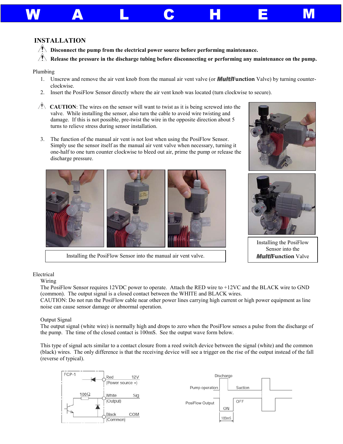# **INSTALLATION**

- **The Disconnect the pump from the electrical power source before performing maintenance.**
- **Release the pressure in the discharge tubing before disconnecting or performing any maintenance on the pump.**

W A L C H E M

#### Plumbing

- 1. Unscrew and remove the air vent knob from the manual air vent valve (or *Multi***Function** Valve) by turning counterclockwise.
- 2. Insert the PosiFlow Sensor directly where the air vent knob was located (turn clockwise to secure).
- **CAUTION:** The wires on the sensor will want to twist as it is being screwed into the valve. While installing the sensor, also turn the cable to avoid wire twisting and damage. If this is not possible, pre-twist the wire in the opposite direction about 5 turns to relieve stress during sensor installation.
- 3. The function of the manual air vent is not lost when using the PosiFlow Sensor. Simply use the sensor itself as the manual air vent valve when necessary, turning it one-half to one turn counter clockwise to bleed out air, prime the pump or release the discharge pressure.



Installing the PosiFlow Sensor into the manual air vent valve.





Installing the PosiFlow Sensor into the *Multi***Function** Valve

## Electrical

Wiring

The PosiFlow Sensor requires 12VDC power to operate. Attach the RED wire to +12VC and the BLACK wire to GND (common). The output signal is a closed contact between the WHITE and BLACK wires.

CAUTION: Do not run the PosiFlow cable near other power lines carrying high current or high power equipment as line noise can cause sensor damage or abnormal operation.

## Output Signal

The output signal (white wire) is normally high and drops to zero when the PosiFlow senses a pulse from the discharge of the pump. The time of the closed contact is 100mS. See the output wave form below.

This type of signal acts similar to a contact closure from a reed switch device between the signal (white) and the common (black) wires. The only difference is that the receiving device will see a trigger on the rise of the output instead of the fall (reverse of typical).